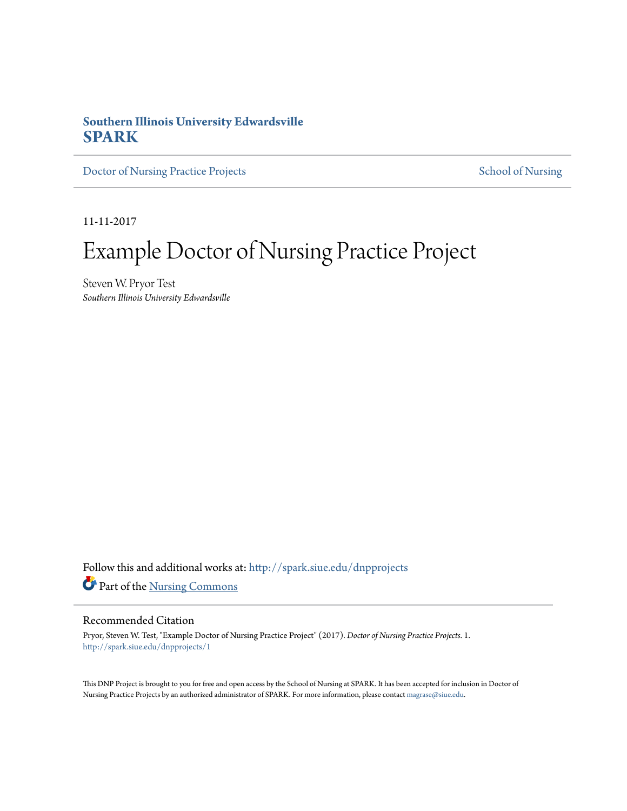#### **Southern Illinois University Edwardsville [SPARK](http://spark.siue.edu?utm_source=spark.siue.edu%2Fdnpprojects%2F1&utm_medium=PDF&utm_campaign=PDFCoverPages)**

[Doctor of Nursing Practice Projects](http://spark.siue.edu/dnpprojects?utm_source=spark.siue.edu%2Fdnpprojects%2F1&utm_medium=PDF&utm_campaign=PDFCoverPages) [School of Nursing](http://spark.siue.edu/nursing?utm_source=spark.siue.edu%2Fdnpprojects%2F1&utm_medium=PDF&utm_campaign=PDFCoverPages)

11-11-2017

# Example Doctor of Nursing Practice Project

Steven W. Pryor Test *Southern Illinois University Edwardsville*

Follow this and additional works at: [http://spark.siue.edu/dnpprojects](http://spark.siue.edu/dnpprojects?utm_source=spark.siue.edu%2Fdnpprojects%2F1&utm_medium=PDF&utm_campaign=PDFCoverPages) Part of the [Nursing Commons](http://network.bepress.com/hgg/discipline/718?utm_source=spark.siue.edu%2Fdnpprojects%2F1&utm_medium=PDF&utm_campaign=PDFCoverPages)

#### Recommended Citation

Pryor, Steven W. Test, "Example Doctor of Nursing Practice Project" (2017). *Doctor of Nursing Practice Projects*. 1. [http://spark.siue.edu/dnpprojects/1](http://spark.siue.edu/dnpprojects/1?utm_source=spark.siue.edu%2Fdnpprojects%2F1&utm_medium=PDF&utm_campaign=PDFCoverPages)

This DNP Project is brought to you for free and open access by the School of Nursing at SPARK. It has been accepted for inclusion in Doctor of Nursing Practice Projects by an authorized administrator of SPARK. For more information, please contact [magrase@siue.edu](mailto:magrase@siue.edu).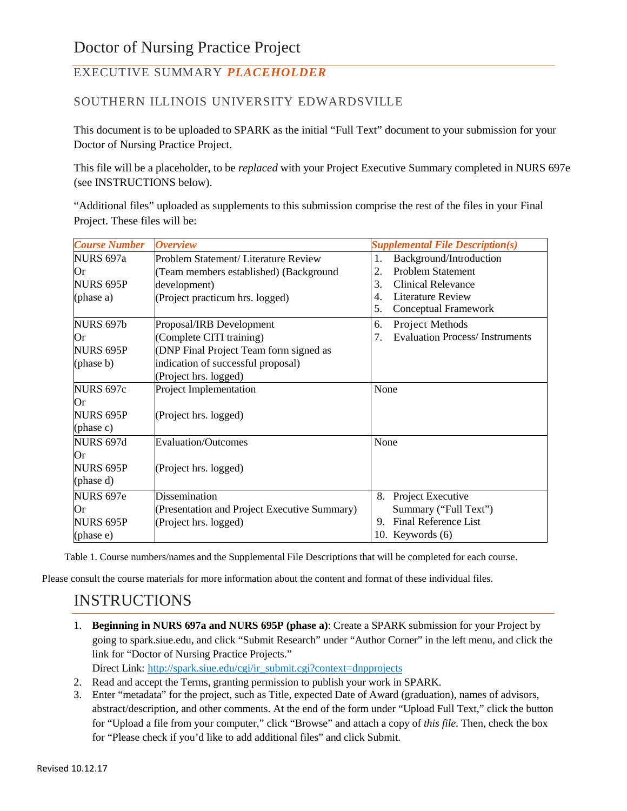### EXECUTIVE SUMMARY *PLACEHOLDER*

#### SOUTHERN ILLINOIS UNIVERSITY EDWARDSVILLE

This document is to be uploaded to SPARK as the initial "Full Text" document to your submission for your Doctor of Nursing Practice Project.

This file will be a placeholder, to be *replaced* with your Project Executive Summary completed in NURS 697e (see INSTRUCTIONS below).

"Additional files" uploaded as supplements to this submission comprise the rest of the files in your Final Project. These files will be:

| <b>Course Number</b> | <b>Overview</b>                              | <b>Supplemental File Description(s)</b>     |  |  |
|----------------------|----------------------------------------------|---------------------------------------------|--|--|
| NURS 697a            | Problem Statement/ Literature Review         | Background/Introduction<br>1.               |  |  |
| Or                   | (Team members established) (Background       | <b>Problem Statement</b><br>2.              |  |  |
| <b>NURS 695P</b>     | development)                                 | 3.<br><b>Clinical Relevance</b>             |  |  |
| (phase a)            | (Project practicum hrs. logged)              | <b>Literature Review</b><br>4.              |  |  |
|                      |                                              | 5.<br>Conceptual Framework                  |  |  |
| <b>NURS 697b</b>     | Proposal/IRB Development                     | Project Methods<br>6.                       |  |  |
| Or                   | (Complete CITI training)                     | <b>Evaluation Process/Instruments</b><br>7. |  |  |
| NURS 695P            | (DNP Final Project Team form signed as       |                                             |  |  |
| (phase b)            | indication of successful proposal)           |                                             |  |  |
|                      | (Project hrs. logged)                        |                                             |  |  |
| <b>NURS 697c</b>     | Project Implementation                       | None                                        |  |  |
| Or                   |                                              |                                             |  |  |
| <b>NURS 695P</b>     | (Project hrs. logged)                        |                                             |  |  |
| (phase c)            |                                              |                                             |  |  |
| <b>NURS 697d</b>     | <b>Evaluation/Outcomes</b>                   | None                                        |  |  |
| Оr                   |                                              |                                             |  |  |
| <b>NURS 695P</b>     | (Project hrs. logged)                        |                                             |  |  |
| (phase d)            |                                              |                                             |  |  |
| <b>NURS 697e</b>     | <b>Dissemination</b>                         | 8.<br>Project Executive                     |  |  |
| Or                   | (Presentation and Project Executive Summary) | Summary ("Full Text")                       |  |  |
| <b>NURS 695P</b>     | (Project hrs. logged)                        | Final Reference List<br>9.                  |  |  |
| (phase e)            |                                              | 10. Keywords (6)                            |  |  |

Table 1. Course numbers/names and the Supplemental File Descriptions that will be completed for each course.

Please consult the course materials for more information about the content and format of these individual files.

## INSTRUCTIONS

- 1. **Beginning in NURS 697a and NURS 695P (phase a)**: Create a SPARK submission for your Project by going to spark.siue.edu, and click "Submit Research" under "Author Corner" in the left menu, and click the link for "Doctor of Nursing Practice Projects." Direct Link: [http://spark.siue.edu/cgi/ir\\_submit.cgi?context=dnpprojects](http://spark.siue.edu/cgi/ir_submit.cgi?context=dnpprojects)
- 2. Read and accept the Terms, granting permission to publish your work in SPARK.
- 3. Enter "metadata" for the project, such as Title, expected Date of Award (graduation), names of advisors, abstract/description, and other comments. At the end of the form under "Upload Full Text," click the button for "Upload a file from your computer," click "Browse" and attach a copy of *this file*. Then, check the box for "Please check if you'd like to add additional files" and click Submit.